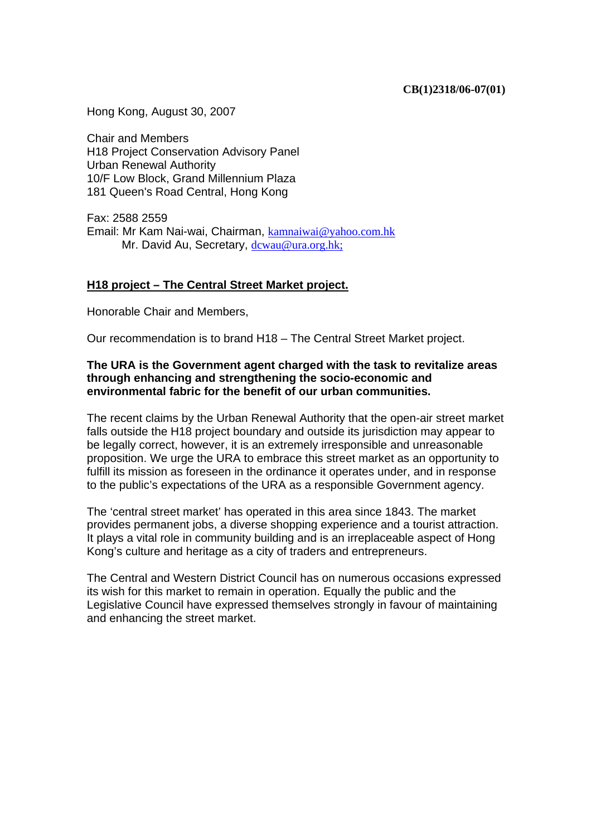Hong Kong, August 30, 2007

Chair and Members H18 Project Conservation Advisory Panel Urban Renewal Authority 10/F Low Block, Grand Millennium Plaza 181 Queen's Road Central, Hong Kong

Fax: 2588 2559 Email: Mr Kam Nai-wai, Chairman, kamnaiwai@yahoo.com.hk Mr. David Au, Secretary, dcwau@ura.org.hk;

#### **H18 project – The Central Street Market project.**

Honorable Chair and Members,

Our recommendation is to brand H18 – The Central Street Market project.

#### **The URA is the Government agent charged with the task to revitalize areas through enhancing and strengthening the socio-economic and environmental fabric for the benefit of our urban communities.**

The recent claims by the Urban Renewal Authority that the open-air street market falls outside the H18 project boundary and outside its jurisdiction may appear to be legally correct, however, it is an extremely irresponsible and unreasonable proposition. We urge the URA to embrace this street market as an opportunity to fulfill its mission as foreseen in the ordinance it operates under, and in response to the public's expectations of the URA as a responsible Government agency.

The 'central street market' has operated in this area since 1843. The market provides permanent jobs, a diverse shopping experience and a tourist attraction. It plays a vital role in community building and is an irreplaceable aspect of Hong Kong's culture and heritage as a city of traders and entrepreneurs.

The Central and Western District Council has on numerous occasions expressed its wish for this market to remain in operation. Equally the public and the Legislative Council have expressed themselves strongly in favour of maintaining and enhancing the street market.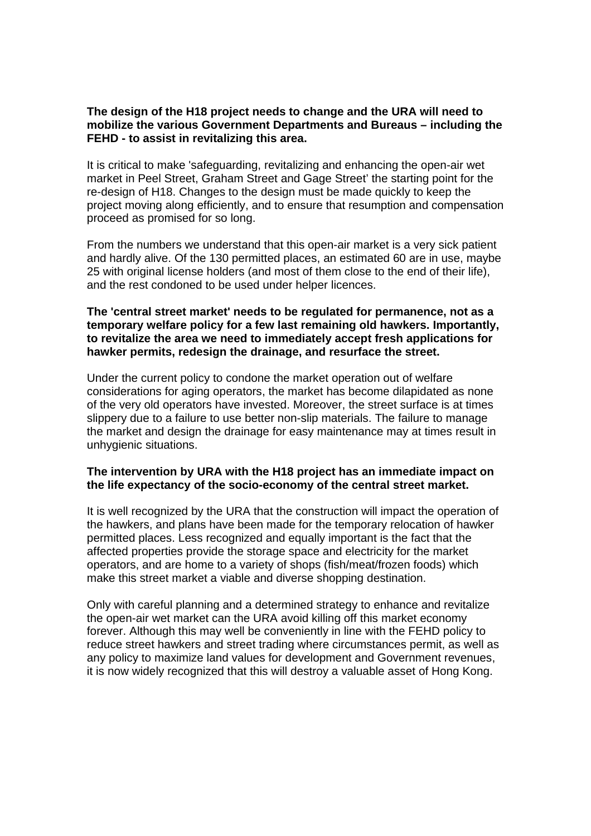#### **The design of the H18 project needs to change and the URA will need to mobilize the various Government Departments and Bureaus – including the FEHD - to assist in revitalizing this area.**

It is critical to make 'safeguarding, revitalizing and enhancing the open-air wet market in Peel Street, Graham Street and Gage Street' the starting point for the re-design of H18. Changes to the design must be made quickly to keep the project moving along efficiently, and to ensure that resumption and compensation proceed as promised for so long.

From the numbers we understand that this open-air market is a very sick patient and hardly alive. Of the 130 permitted places, an estimated 60 are in use, maybe 25 with original license holders (and most of them close to the end of their life), and the rest condoned to be used under helper licences.

### **The 'central street market' needs to be regulated for permanence, not as a temporary welfare policy for a few last remaining old hawkers. Importantly, to revitalize the area we need to immediately accept fresh applications for hawker permits, redesign the drainage, and resurface the street.**

Under the current policy to condone the market operation out of welfare considerations for aging operators, the market has become dilapidated as none of the very old operators have invested. Moreover, the street surface is at times slippery due to a failure to use better non-slip materials. The failure to manage the market and design the drainage for easy maintenance may at times result in unhygienic situations.

## **The intervention by URA with the H18 project has an immediate impact on the life expectancy of the socio-economy of the central street market.**

It is well recognized by the URA that the construction will impact the operation of the hawkers, and plans have been made for the temporary relocation of hawker permitted places. Less recognized and equally important is the fact that the affected properties provide the storage space and electricity for the market operators, and are home to a variety of shops (fish/meat/frozen foods) which make this street market a viable and diverse shopping destination.

Only with careful planning and a determined strategy to enhance and revitalize the open-air wet market can the URA avoid killing off this market economy forever. Although this may well be conveniently in line with the FEHD policy to reduce street hawkers and street trading where circumstances permit, as well as any policy to maximize land values for development and Government revenues, it is now widely recognized that this will destroy a valuable asset of Hong Kong.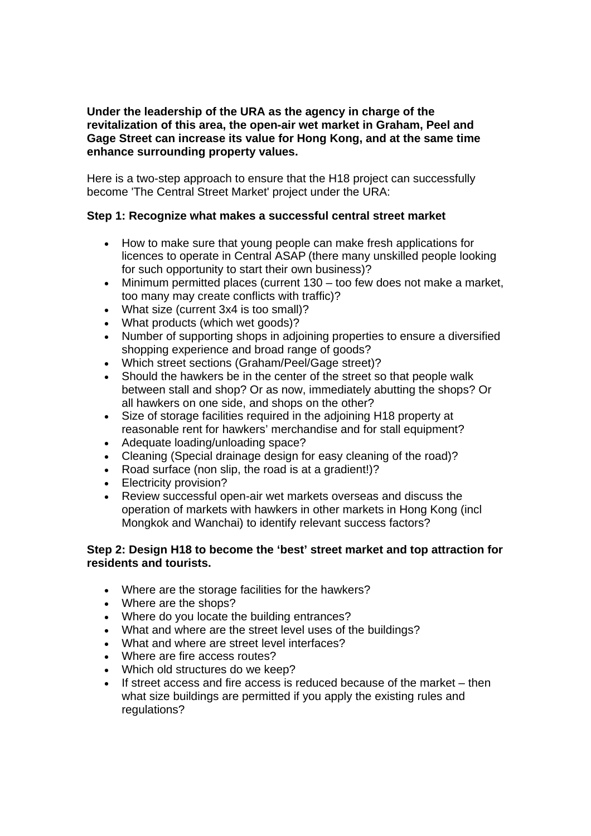# **Under the leadership of the URA as the agency in charge of the revitalization of this area, the open-air wet market in Graham, Peel and Gage Street can increase its value for Hong Kong, and at the same time enhance surrounding property values.**

Here is a two-step approach to ensure that the H18 project can successfully become 'The Central Street Market' project under the URA:

# **Step 1: Recognize what makes a successful central street market**

- How to make sure that young people can make fresh applications for licences to operate in Central ASAP (there many unskilled people looking for such opportunity to start their own business)?
- Minimum permitted places (current 130 too few does not make a market, too many may create conflicts with traffic)?
- What size (current 3x4 is too small)?
- What products (which wet goods)?
- Number of supporting shops in adjoining properties to ensure a diversified shopping experience and broad range of goods?
- Which street sections (Graham/Peel/Gage street)?
- Should the hawkers be in the center of the street so that people walk between stall and shop? Or as now, immediately abutting the shops? Or all hawkers on one side, and shops on the other?
- Size of storage facilities required in the adjoining H18 property at reasonable rent for hawkers' merchandise and for stall equipment?
- Adequate loading/unloading space?
- Cleaning (Special drainage design for easy cleaning of the road)?
- Road surface (non slip, the road is at a gradient!)?
- Electricity provision?
- Review successful open-air wet markets overseas and discuss the operation of markets with hawkers in other markets in Hong Kong (incl Mongkok and Wanchai) to identify relevant success factors?

## **Step 2: Design H18 to become the 'best' street market and top attraction for residents and tourists.**

- Where are the storage facilities for the hawkers?
- Where are the shops?
- Where do you locate the building entrances?
- What and where are the street level uses of the buildings?
- What and where are street level interfaces?
- Where are fire access routes?
- Which old structures do we keep?
- If street access and fire access is reduced because of the market then what size buildings are permitted if you apply the existing rules and regulations?